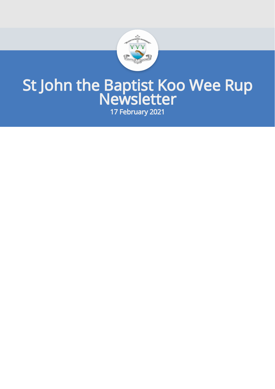

# St John the Baptist Koo Wee Rup Newsletter

17 February 2021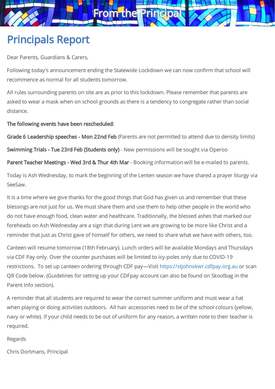

# Principals Report

Dear Parents, Guardians & Carers,

Following today's announcement ending the Statewide Lockdown we can now confirm that school will recommence as normal for all students tomorrow.

All rules surrounding parents on site are as prior to this lockdown. Please remember that parents are asked to wear a mask when on school grounds as there is a tendency to congregate rather than social distance.

The following events have been rescheduled:

Grade 6 Leadership speeches - Mon 22nd Feb (Parents are not permitted to attend due to density limits)

Swimming Trials - Tue 23rd Feb (Students only) - New permissions will be sought via Operoo

Parent Teacher Meetings - Wed 3rd & Thur 4th Mar - Booking information will be e-mailed to parents.

Today is Ash Wednesday, to mark the beginning of the Lenten season we have shared a prayer liturgy via SeeSaw.

It is a time where we give thanks for the good things that God has given us and remember that these blessings are not just for us. We must share them and use them to help other people in the world who do not have enough food, clean water and healthcare. Traditionally, the blessed ashes that marked our foreheads on Ash Wednesday are a sign that during Lent we are growing to be more like Christ and a reminder that just as Christ gave of himself for others, we need to share what we have with others, too.

Canteen will resume tomorrow (18th February). Lunch orders will be available Mondays and Thursdays via CDF Pay only. Over the counter purchases will be limited to icy-poles only due to COVID-19 restrictions. To set up canteen ordering through CDF pay—Visit [https://stjohnskwr.cdfpay.org.au](https://stjohnskwr.cdfpay.org.au/) or scan QR Code below. (Guidelines for setting up your CDFpay account can also be found on Skoolbag in the Parent Info section).

A reminder that all students are required to wear the correct summer uniform and must wear a hat when playing or doing activities outdoors. All hair accessories need to be of the school colours (yellow, navy or white). If your child needs to be out of uniform for any reason, a written note to their teacher is required.

Regards

Chris Dortmans, Principal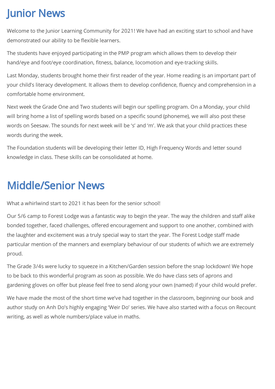# Junior News

Welcome to the Junior Learning Community for 2021! We have had an exciting start to school and have demonstrated our ability to be flexible learners.

The students have enjoyed participating in the PMP program which allows them to develop their hand/eye and foot/eye coordination, fitness, balance, locomotion and eye-tracking skills.

Last Monday, students brought home their first reader of the year. Home reading is an important part of your child's literacy development. It allows them to develop confidence, fluency and comprehension in a comfortable home environment.

Next week the Grade One and Two students will begin our spelling program. On a Monday, your child will bring home a list of spelling words based on a specific sound (phoneme), we will also post these words on Seesaw. The sounds for next week will be 's' and 'm'. We ask that your child practices these words during the week.

The Foundation students will be developing their letter ID, High Frequency Words and letter sound knowledge in class. These skills can be consolidated at home.

# Middle/Senior News

What a whirlwind start to 2021 it has been for the senior school!

Our 5/6 camp to Forest Lodge was a fantastic way to begin the year. The way the children and staff alike bonded together, faced challenges, offered encouragement and support to one another, combined with the laughter and excitement was a truly special way to start the year. The Forest Lodge staff made particular mention of the manners and exemplary behaviour of our students of which we are extremely proud.

The Grade 3/4s were lucky to squeeze in a Kitchen/Garden session before the snap lockdown! We hope to be back to this wonderful program as soon as possible. We do have class sets of aprons and gardening gloves on offer but please feel free to send along your own (named) if your child would prefer.

We have made the most of the short time we've had together in the classroom, beginning our book and author study on Anh Do's highly engaging 'Weir Do' series. We have also started with a focus on Recount writing, as well as whole numbers/place value in maths.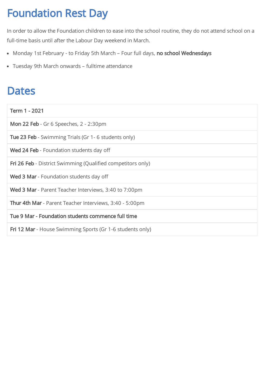# Foundation Rest Day

In order to allow the Foundation children to ease into the school routine, they do not attend school on a full-time basis until after the Labour Day weekend in March.

- Monday 1st February to Friday 5th March Four full days, no school Wednesdays
- Tuesday 9th March onwards fulltime attendance

### **Dates**

| Term 1 - 2021                                                      |
|--------------------------------------------------------------------|
| <b>Mon 22 Feb</b> - Gr 6 Speeches, 2 - 2:30pm                      |
| <b>Tue 23 Feb</b> - Swimming Trials (Gr 1 - 6 students only)       |
| <b>Wed 24 Feb</b> - Foundation students day off                    |
| <b>Fri 26 Feb</b> - District Swimming (Qualified competitors only) |
| <b>Wed 3 Mar</b> - Foundation students day off                     |
| <b>Wed 3 Mar</b> - Parent Teacher Interviews, 3:40 to 7:00pm       |
| <b>Thur 4th Mar</b> - Parent Teacher Interviews, 3:40 - 5:00pm     |
| Tue 9 Mar - Foundation students commence full time                 |
| Fri 12 Mar - House Swimming Sports (Gr 1-6 students only)          |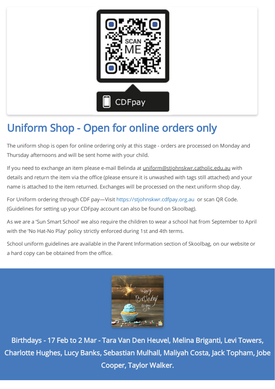

# Uniform Shop - Open for online orders only

The uniform shop is open for online ordering only at this stage - orders are processed on Monday and Thursday afternoons and will be sent home with your child.

If you need to exchange an item please e-mail Belinda at uniform@stjohnskwr.catholic.edu.au with details and return the item via the office (please ensure it is unwashed with tags still attached) and your name is attached to the item returned. Exchanges will be processed on the next uniform shop day.

For Uniform ordering through CDF pay—Visit [https://stjohnskwr.cdfpay.org.au](https://stjohnskwr.cdfpay.org.au/) or scan QR Code. (Guidelines for setting up your CDFpay account can also be found on Skoolbag).

As we are a 'Sun Smart School' we also require the children to wear a school hat from September to April with the 'No Hat-No Play' policy strictly enforced during 1st and 4th terms.

School uniform guidelines are available in the Parent Information section of Skoolbag, on our website or a hard copy can be obtained from the office.



Birthdays - 17 Feb to 2 Mar - Tara Van Den Heuvel, Melina Briganti, Levi Towers, Charlotte Hughes, Lucy Banks, Sebastian Mulhall, Maliyah Costa, Jack Topham, Jobe Cooper, Taylor Walker.